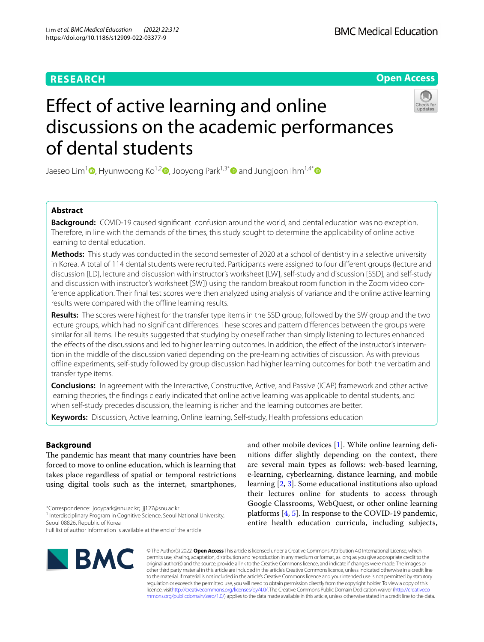# **RESEARCH**

**Open Access**

# Effect of active learning and online discussions on the academic performances of dental students



Jaeseo Lim<sup>1</sup>  $\Phi$ [,](http://orcid.org/0000-0003-0978-9098) Hyunwoong Ko<sup>1,2</sup>  $\Phi$ [,](http://orcid.org/0000-0001-7135-3872) Jooyong Park<sup>1,3[\\*](http://orcid.org/0000-0002-3136-5956)</sup>  $\Phi$  and Jungjoon Ihm<sup>1,4\*</sup>  $\Phi$ 

## **Abstract**

**Background:** COVID-19 caused significant confusion around the world, and dental education was no exception. Therefore, in line with the demands of the times, this study sought to determine the applicability of online active learning to dental education.

**Methods:** This study was conducted in the second semester of 2020 at a school of dentistry in a selective university in Korea. A total of 114 dental students were recruited. Participants were assigned to four diferent groups (lecture and discussion [LD], lecture and discussion with instructor's worksheet [LW], self-study and discussion [SSD], and self-study and discussion with instructor's worksheet [SW]) using the random breakout room function in the Zoom video conference application. Their fnal test scores were then analyzed using analysis of variance and the online active learning results were compared with the offline learning results.

**Results:** The scores were highest for the transfer type items in the SSD group, followed by the SW group and the two lecture groups, which had no signifcant diferences. These scores and pattern diferences between the groups were similar for all items. The results suggested that studying by oneself rather than simply listening to lectures enhanced the efects of the discussions and led to higher learning outcomes. In addition, the efect of the instructor's intervention in the middle of the discussion varied depending on the pre-learning activities of discussion. As with previous ofine experiments, self-study followed by group discussion had higher learning outcomes for both the verbatim and transfer type items.

**Conclusions:** In agreement with the Interactive, Constructive, Active, and Passive (ICAP) framework and other active learning theories, the fndings clearly indicated that online active learning was applicable to dental students, and when self-study precedes discussion, the learning is richer and the learning outcomes are better.

**Keywords:** Discussion, Active learning, Online learning, Self-study, Health professions education

## **Background**

The pandemic has meant that many countries have been forced to move to online education, which is learning that takes place regardless of spatial or temporal restrictions using digital tools such as the internet, smartphones,

\*Correspondence: jooypark@snu.ac.kr; ijj127@snu.ac.kr

<sup>1</sup> Interdisciplinary Program in Cognitive Science, Seoul National University, Seoul 08826, Republic of Korea

Full list of author information is available at the end of the article



and other mobile devices [\[1](#page-7-0)]. While online learning defnitions difer slightly depending on the context, there are several main types as follows: web-based learning, e-learning, cyberlearning, distance learning, and mobile learning [\[2](#page-7-1), [3\]](#page-7-2). Some educational institutions also upload their lectures online for students to access through Google Classrooms, WebQuest, or other online learning platforms [[4,](#page-7-3) [5](#page-7-4)]. In response to the COVID-19 pandemic, entire health education curricula, including subjects,

© The Author(s) 2022. **Open Access** This article is licensed under a Creative Commons Attribution 4.0 International License, which permits use, sharing, adaptation, distribution and reproduction in any medium or format, as long as you give appropriate credit to the original author(s) and the source, provide a link to the Creative Commons licence, and indicate if changes were made. The images or other third party material in this article are included in the article's Creative Commons licence, unless indicated otherwise in a credit line to the material. If material is not included in the article's Creative Commons licence and your intended use is not permitted by statutory regulation or exceeds the permitted use, you will need to obtain permission directly from the copyright holder. To view a copy of this licence, visi[thttp://creativecommons.org/licenses/by/4.0/](http://creativecommons.org/licenses/by/4.0/). The Creative Commons Public Domain Dedication waiver [\(http://creativeco](http://creativecommons.org/publicdomain/zero/1.0/) [mmons.org/publicdomain/zero/1.0/](http://creativecommons.org/publicdomain/zero/1.0/)) applies to the data made available in this article, unless otherwise stated in a credit line to the data.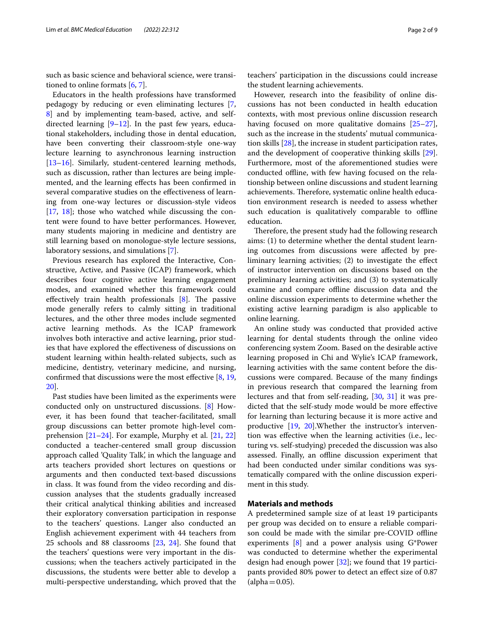such as basic science and behavioral science, were transitioned to online formats [\[6](#page-7-5), [7](#page-7-6)].

Educators in the health professions have transformed pedagogy by reducing or even eliminating lectures [\[7](#page-7-6), [8\]](#page-7-7) and by implementing team-based, active, and selfdirected learning  $[9-12]$  $[9-12]$ . In the past few years, educational stakeholders, including those in dental education, have been converting their classroom-style one-way lecture learning to asynchronous learning instruction [[13–](#page-8-1)[16](#page-8-2)]. Similarly, student-centered learning methods, such as discussion, rather than lectures are being implemented, and the learning efects has been confrmed in several comparative studies on the efectiveness of learning from one-way lectures or discussion-style videos [[17,](#page-8-3) [18](#page-8-4)]; those who watched while discussing the content were found to have better performances. However, many students majoring in medicine and dentistry are still learning based on monologue-style lecture sessions, laboratory sessions, and simulations [\[7](#page-7-6)].

Previous research has explored the Interactive, Constructive, Active, and Passive (ICAP) framework, which describes four cognitive active learning engagement modes, and examined whether this framework could effectively train health professionals  $[8]$  $[8]$  $[8]$ . The passive mode generally refers to calmly sitting in traditional lectures, and the other three modes include segmented active learning methods. As the ICAP framework involves both interactive and active learning, prior studies that have explored the efectiveness of discussions on student learning within health-related subjects, such as medicine, dentistry, veterinary medicine, and nursing, confrmed that discussions were the most efective [[8,](#page-7-7) [19](#page-8-5), [20\]](#page-8-6).

Past studies have been limited as the experiments were conducted only on unstructured discussions. [[8\]](#page-7-7) However, it has been found that teacher-facilitated, small group discussions can better promote high-level comprehension  $[21–24]$  $[21–24]$  $[21–24]$  $[21–24]$ . For example, Murphy et al.  $[21, 22]$  $[21, 22]$  $[21, 22]$  $[21, 22]$ conducted a teacher-centered small group discussion approach called 'Quality Talk', in which the language and arts teachers provided short lectures on questions or arguments and then conducted text-based discussions in class. It was found from the video recording and discussion analyses that the students gradually increased their critical analytical thinking abilities and increased their exploratory conversation participation in response to the teachers' questions. Langer also conducted an English achievement experiment with 44 teachers from 25 schools and 88 classrooms [\[23](#page-8-10), [24](#page-8-8)]. She found that the teachers' questions were very important in the discussions; when the teachers actively participated in the discussions, the students were better able to develop a multi-perspective understanding, which proved that the

teachers' participation in the discussions could increase the student learning achievements.

However, research into the feasibility of online discussions has not been conducted in health education contexts, with most previous online discussion research having focused on more qualitative domains [[25](#page-8-11)[–27](#page-8-12)], such as the increase in the students' mutual communication skills [\[28](#page-8-13)], the increase in student participation rates, and the development of cooperative thinking skills [\[29](#page-8-14)]. Furthermore, most of the aforementioned studies were conducted offline, with few having focused on the relationship between online discussions and student learning achievements. Therefore, systematic online health education environment research is needed to assess whether such education is qualitatively comparable to offline education.

Therefore, the present study had the following research aims: (1) to determine whether the dental student learning outcomes from discussions were afected by preliminary learning activities; (2) to investigate the efect of instructor intervention on discussions based on the preliminary learning activities; and (3) to systematically examine and compare offline discussion data and the online discussion experiments to determine whether the existing active learning paradigm is also applicable to online learning.

An online study was conducted that provided active learning for dental students through the online video conferencing system Zoom. Based on the desirable active learning proposed in Chi and Wylie's ICAP framework, learning activities with the same content before the discussions were compared. Because of the many fndings in previous research that compared the learning from lectures and that from self-reading, [[30](#page-8-15), [31](#page-8-16)] it was predicted that the self-study mode would be more efective for learning than lecturing because it is more active and productive [\[19](#page-8-5), [20](#page-8-6)].Whether the instructor's intervention was efective when the learning activities (i.e., lecturing vs. self-studying) preceded the discussion was also assessed. Finally, an offline discussion experiment that had been conducted under similar conditions was systematically compared with the online discussion experiment in this study.

## **Materials and methods**

A predetermined sample size of at least 19 participants per group was decided on to ensure a reliable comparison could be made with the similar pre-COVID ofine experiments [[8\]](#page-7-7) and a power analysis using G\*Power was conducted to determine whether the experimental design had enough power [\[32](#page-8-17)]; we found that 19 participants provided 80% power to detect an efect size of 0.87  $(alpha=0.05).$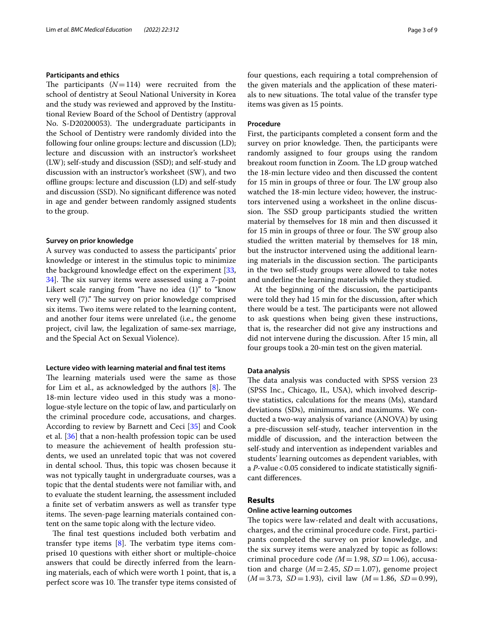## **Participants and ethics**

The participants  $(N=114)$  were recruited from the school of dentistry at Seoul National University in Korea and the study was reviewed and approved by the Institutional Review Board of the School of Dentistry (approval No. S-D20200053). The undergraduate participants in the School of Dentistry were randomly divided into the following four online groups: lecture and discussion (LD); lecture and discussion with an instructor's worksheet (LW); self-study and discussion (SSD); and self-study and discussion with an instructor's worksheet (SW), and two ofine groups: lecture and discussion (LD) and self-study and discussion (SSD). No signifcant diference was noted in age and gender between randomly assigned students to the group.

#### **Survey on prior knowledge**

A survey was conducted to assess the participants' prior knowledge or interest in the stimulus topic to minimize the background knowledge effect on the experiment [\[33](#page-8-18), 34. The six survey items were assessed using a 7-point Likert scale ranging from "have no idea (1)" to "know very well (7)." The survey on prior knowledge comprised six items. Two items were related to the learning content, and another four items were unrelated (i.e., the genome project, civil law, the legalization of same-sex marriage, and the Special Act on Sexual Violence).

#### **Lecture video with learning material and fnal test items**

The learning materials used were the same as those for Lim et al., as acknowledged by the authors  $[8]$  $[8]$ . The 18-min lecture video used in this study was a monologue-style lecture on the topic of law, and particularly on the criminal procedure code, accusations, and charges. According to review by Barnett and Ceci [[35\]](#page-8-20) and Cook et al. [[36](#page-8-21)] that a non-health profession topic can be used to measure the achievement of health profession students, we used an unrelated topic that was not covered in dental school. Thus, this topic was chosen because it was not typically taught in undergraduate courses, was a topic that the dental students were not familiar with, and to evaluate the student learning, the assessment included a fnite set of verbatim answers as well as transfer type items. The seven-page learning materials contained content on the same topic along with the lecture video.

The final test questions included both verbatim and transfer type items  $[8]$  $[8]$ . The verbatim type items comprised 10 questions with either short or multiple-choice answers that could be directly inferred from the learning materials, each of which were worth 1 point, that is, a perfect score was 10. The transfer type items consisted of four questions, each requiring a total comprehension of the given materials and the application of these materials to new situations. The total value of the transfer type items was given as 15 points.

#### **Procedure**

First, the participants completed a consent form and the survey on prior knowledge. Then, the participants were randomly assigned to four groups using the random breakout room function in Zoom. The LD group watched the 18-min lecture video and then discussed the content for 15 min in groups of three or four. The LW group also watched the 18-min lecture video; however, the instructors intervened using a worksheet in the online discussion. The SSD group participants studied the written material by themselves for 18 min and then discussed it for 15 min in groups of three or four. The SW group also studied the written material by themselves for 18 min, but the instructor intervened using the additional learning materials in the discussion section. The participants in the two self-study groups were allowed to take notes and underline the learning materials while they studied.

At the beginning of the discussion, the participants were told they had 15 min for the discussion, after which there would be a test. The participants were not allowed to ask questions when being given these instructions, that is, the researcher did not give any instructions and did not intervene during the discussion. After 15 min, all four groups took a 20-min test on the given material.

#### **Data analysis**

The data analysis was conducted with SPSS version 23 (SPSS Inc., Chicago, IL, USA), which involved descriptive statistics, calculations for the means (Ms), standard deviations (SDs), minimums, and maximums. We conducted a two-way analysis of variance (ANOVA) by using a pre-discussion self-study, teacher intervention in the middle of discussion, and the interaction between the self-study and intervention as independent variables and students' learning outcomes as dependent variables, with a *P*-value < 0.05 considered to indicate statistically significant diferences.

## **Results**

#### **Online active learning outcomes**

The topics were law-related and dealt with accusations, charges, and the criminal procedure code. First, participants completed the survey on prior knowledge, and the six survey items were analyzed by topic as follows: criminal procedure code *(M*=1.98, *SD*=1.06), accusation and charge  $(M = 2.45, SD = 1.07)$ , genome project (*M*=3.73, *SD*=1.93), civil law (*M*=1.86, *SD*=0.99),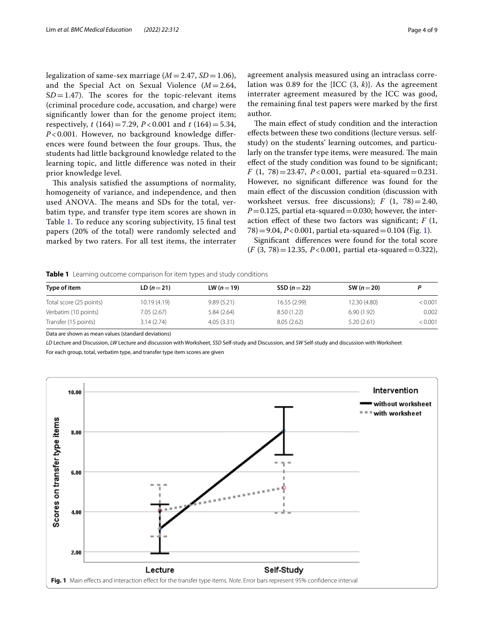legalization of same-sex marriage  $(M=2.47, SD=1.06)$ , and the Special Act on Sexual Violence  $(M = 2.64,$  $SD = 1.47$ ). The scores for the topic-relevant items (criminal procedure code, accusation, and charge) were signifcantly lower than for the genome project item; respectively, *t* (164)=7.29, *P* < 0.001 and *t* (164)=5.34, *P* < 0.001. However, no background knowledge diferences were found between the four groups. Thus, the students had little background knowledge related to the learning topic, and little diference was noted in their prior knowledge level.

This analysis satisfied the assumptions of normality, homogeneity of variance, and independence, and then used ANOVA. The means and SDs for the total, verbatim type, and transfer type item scores are shown in Table [1](#page-3-0). To reduce any scoring subjectivity, 15 fnal test papers (20% of the total) were randomly selected and marked by two raters. For all test items, the interrater agreement analysis measured using an intraclass correlation was 0.89 for the {ICC (3, *k*)}. As the agreement interrater agreement measured by the ICC was good, the remaining fnal test papers were marked by the frst author.

The main effect of study condition and the interaction efects between these two conditions (lecture versus. selfstudy) on the students' learning outcomes, and particularly on the transfer type items, were measured. The main efect of the study condition was found to be signifcant; *F* (1, 78)=23.47, *P*<0.001, partial eta-squared=0.231. However, no signifcant diference was found for the main efect of the discussion condition (discussion with worksheet versus. free discussions);  $F(1, 78) = 2.40$ ,  $P=0.125$ , partial eta-squared = 0.030; however, the interaction efect of these two factors was signifcant; *F* (1,  $78$ ) = 9.04, *P*<0.001, partial eta-squared = 0.104 (Fig. [1](#page-3-1)).

Signifcant diferences were found for the total score (*F* (3, 78)=12.35, *P*<0.001, partial eta-squared=0.322),

## <span id="page-3-0"></span>**Table 1** Learning outcome comparison for item types and study conditions

| Type of item            | $LD (n = 21)$ | LW $(n=19)$ | SSD $(n=22)$ | SW ( $n = 20$ ) |         |
|-------------------------|---------------|-------------|--------------|-----------------|---------|
| Total score (25 points) | 10.19 (4.19)  | 9.89(5.21)  | 16.55 (2.99) | 12.30 (4.80)    | < 0.001 |
| Verbatim (10 points)    | 7.05(2.67)    | 5.84(2.64)  | 8.50 (1.22)  | 6.90(1.92)      | 0.002   |
| Transfer (15 points)    | 3.14(2.74)    | 4.05(3.31)  | 8.05(2.62)   | 5.20(2.61)      | < 0.001 |

Data are shown as mean values (standard deviations)

*LD* Lecture and Discussion, *LW* Lecture and discussion with Worksheet, *SSD* Self-study and Discussion, and *SW* Self-study and discussion with Worksheet For each group, total, verbatim type, and transfer type item scores are given

<span id="page-3-1"></span>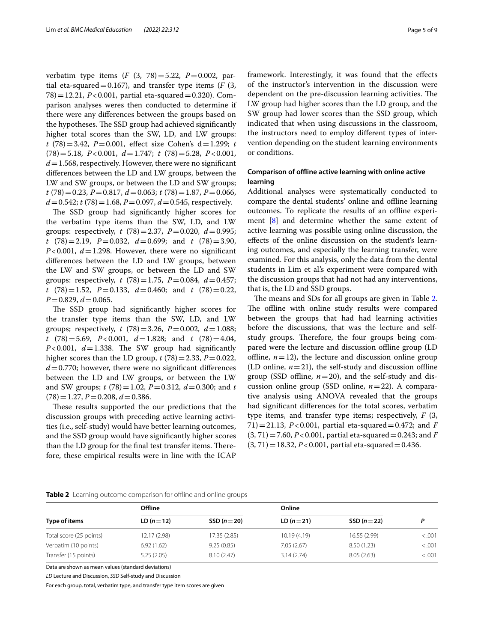verbatim type items (*F* (3, 78)=5.22, *P*=0.002, partial eta-squared =  $0.167$ ), and transfer type items ( $F(3, 167)$ ) 78)=12.21, *P*<0.001, partial eta-squared=0.320). Comparison analyses weres then conducted to determine if there were any diferences between the groups based on the hypotheses. The SSD group had achieved significantly higher total scores than the SW, LD, and LW groups: *t* (78)=3.42, *P*=0.001, efect size Cohen's d=1.299; *t* (78)=5.18, *P*<0.001, *d*=1.747; *t* (78)=5.28, *P*<0.001, *d*=1.568, respectively. However, there were no signifcant diferences between the LD and LW groups, between the LW and SW groups, or between the LD and SW groups; *t* (78)=0.23, *P*=0.817, *d*=0.063; *t* (78)=1.87, *P*=0.066,  $d = 0.542$ ;  $t(78) = 1.68$ ,  $P = 0.097$ ,  $d = 0.545$ , respectively.

The SSD group had significantly higher scores for the verbatim type items than the SW, LD, and LW groups: respectively, *t* (78)=2.37, *P*=0.020, *d*=0.995; *t* (78)=2.19, *P*=0.032, *d*=0.699; and *t* (78)=3.90,  $P < 0.001$ ,  $d = 1.298$ . However, there were no significant diferences between the LD and LW groups, between the LW and SW groups, or between the LD and SW groups: respectively,  $t$  (78)=1.75,  $P=0.084$ ,  $d=0.457$ ; *t* (78)=1.52, *P*=0.133, *d*=0.460; and *t* (78)=0.22, *P*=0.829, *d*=0.065.

The SSD group had significantly higher scores for the transfer type items than the SW, LD, and LW groups; respectively, *t* (78)=3.26, *P*=0.002, *d*=1.088; *t* (78)=5.69, *P*<0.001, *d*=1.828; and *t* (78)=4.04,  $P < 0.001$ ,  $d = 1.338$ . The SW group had significantly higher scores than the LD group,  $t(78) = 2.33$ ,  $P = 0.022$ ,  $d=0.770$ ; however, there were no significant differences between the LD and LW groups, or between the LW and SW groups; *t* (78)=1.02, *P*=0.312, *d*=0.300; and *t*  $(78)=1.27, P=0.208, d=0.386.$ 

These results supported the our predictions that the discussion groups with preceding active learning activities (i.e., self-study) would have better learning outcomes, and the SSD group would have signifcantly higher scores than the LD group for the final test transfer items. Therefore, these empirical results were in line with the ICAP framework. Interestingly, it was found that the efects of the instructor's intervention in the discussion were dependent on the pre-discussion learning activities. The LW group had higher scores than the LD group, and the SW group had lower scores than the SSD group, which indicated that when using discussions in the classroom, the instructors need to employ diferent types of intervention depending on the student learning environments or conditions.

## **Comparison of ofine active learning with online active learning**

Additional analyses were systematically conducted to compare the dental students' online and offline learning outcomes. To replicate the results of an ofine experiment [[8\]](#page-7-7) and determine whether the same extent of active learning was possible using online discussion, the efects of the online discussion on the student's learning outcomes, and especially the learning transfer, were examined. For this analysis, only the data from the dental students in Lim et al's experiment were compared with the discussion groups that had not had any interventions, that is, the LD and SSD groups.

The means and SDs for all groups are given in Table [2](#page-4-0). The offline with online study results were compared between the groups that had had learning activities before the discussions, that was the lecture and selfstudy groups. Therefore, the four groups being compared were the lecture and discussion ofine group (LD offline,  $n=12$ ), the lecture and discussion online group (LD online,  $n=21$ ), the self-study and discussion offline group (SSD offline,  $n=20$ ), and the self-study and discussion online group (SSD online, *n*=22). A comparative analysis using ANOVA revealed that the groups had signifcant diferences for the total scores, verbatim type items, and transfer type items; respectively, *F* (3, 71)=21.13, *P*<0.001, partial eta-squared=0.472; and *F* (3, 71)=7.60, *P*<0.001, partial eta-squared=0.243; and *F*  $(3, 71) = 18.32, P < 0.001$ , partial eta-squared = 0.436.

| Type of items           | Offiine       |              | Online        |              |         |
|-------------------------|---------------|--------------|---------------|--------------|---------|
|                         | $LD (n = 12)$ | SSD $(n=20)$ | $LD (n = 21)$ | $SSD(n=22)$  | D       |
| Total score (25 points) | 12.17 (2.98)  | 17.35 (2.85) | 10.19(4.19)   | 16.55 (2.99) | < 0.001 |
| Verbatim (10 points)    | 6.92(1.62)    | 9.25(0.85)   | 7.05(2.67)    | 8.50(1.23)   | < .001  |
| Transfer (15 points)    | 5.25(2.05)    | 8.10(2.47)   | 3.14(2.74)    | 8.05(2.63)   | < 0.001 |

<span id="page-4-0"></span>**Table 2** Learning outcome comparison for offline and online groups

Data are shown as mean values (standard deviations)

*LD* Lecture and Discussion, *SSD* Self-study and Discussion

For each group, total, verbatim type, and transfer type item scores are given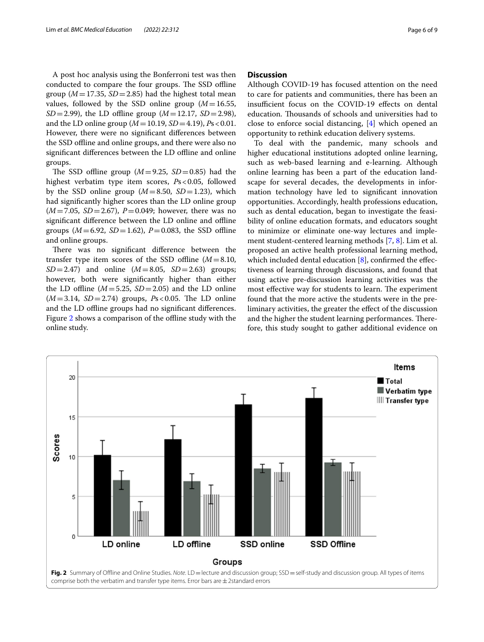A post hoc analysis using the Bonferroni test was then conducted to compare the four groups. The SSD offline group ( $M=17.35$ ,  $SD=2.85$ ) had the highest total mean values, followed by the SSD online group  $(M=16.55,$ *SD*=2.99), the LD offline group ( $M=12.17$ , *SD*=2.98), and the LD online group (*M*=10.19, *SD*=4.19), *P*s<0.01. However, there were no signifcant diferences between the SSD ofine and online groups, and there were also no significant differences between the LD offline and online groups.

The SSD offline group  $(M=9.25, SD=0.85)$  had the highest verbatim type item scores, *P*s<0.05, followed by the SSD online group  $(M=8.50, SD=1.23)$ , which had signifcantly higher scores than the LD online group (*M*=7.05, *SD*=2.67), *P*=0.049; however, there was no significant difference between the LD online and offline groups ( $M = 6.92$ ,  $SD = 1.62$ ),  $P = 0.083$ , the SSD offline and online groups.

There was no significant difference between the transfer type item scores of the SSD offline  $(M=8.10,$ *SD*=2.47) and online  $(M=8.05, SD=2.63)$  groups; however, both were signifcantly higher than either the LD offline  $(M=5.25, SD=2.05)$  and the LD online  $(M=3.14, SD=2.74)$  groups,  $Ps < 0.05$ . The LD online and the LD offline groups had no significant differences. Figure [2](#page-5-0) shows a comparison of the offline study with the online study.

## **Discussion**

Although COVID-19 has focused attention on the need to care for patients and communities, there has been an insufficient focus on the COVID-19 effects on dental education. Thousands of schools and universities had to close to enforce social distancing, [\[4](#page-7-3)] which opened an opportunity to rethink education delivery systems.

To deal with the pandemic, many schools and higher educational institutions adopted online learning, such as web-based learning and e-learning. Although online learning has been a part of the education landscape for several decades, the developments in information technology have led to signifcant innovation opportunities. Accordingly, health professions education, such as dental education, began to investigate the feasibility of online education formats, and educators sought to minimize or eliminate one-way lectures and implement student-centered learning methods [[7,](#page-7-6) [8](#page-7-7)]. Lim et al. proposed an active health professional learning method, which included dental education  $[8]$  $[8]$ , confirmed the effectiveness of learning through discussions, and found that using active pre-discussion learning activities was the most effective way for students to learn. The experiment found that the more active the students were in the preliminary activities, the greater the efect of the discussion and the higher the student learning performances. Therefore, this study sought to gather additional evidence on

<span id="page-5-0"></span>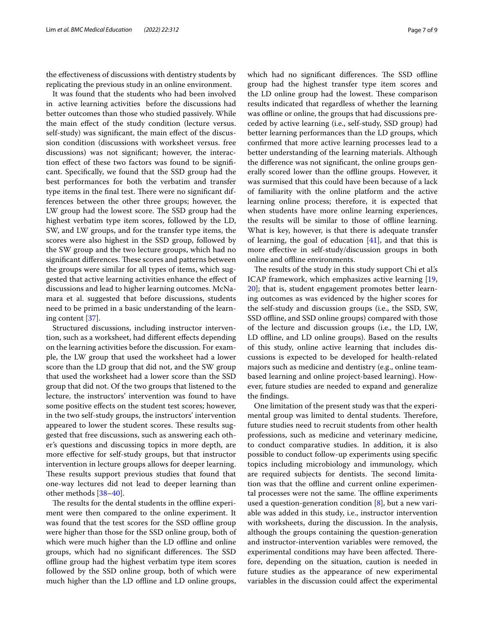the efectiveness of discussions with dentistry students by replicating the previous study in an online environment.

It was found that the students who had been involved in active learning activities before the discussions had better outcomes than those who studied passively. While the main efect of the study condition (lecture versus. self-study) was signifcant, the main efect of the discussion condition (discussions with worksheet versus. free discussions) was not signifcant; however, the interaction efect of these two factors was found to be signifcant. Specifcally, we found that the SSD group had the best performances for both the verbatim and transfer type items in the final test. There were no significant differences between the other three groups; however, the LW group had the lowest score. The SSD group had the highest verbatim type item scores, followed by the LD, SW, and LW groups, and for the transfer type items, the scores were also highest in the SSD group, followed by the SW group and the two lecture groups, which had no significant differences. These scores and patterns between the groups were similar for all types of items, which suggested that active learning activities enhance the efect of discussions and lead to higher learning outcomes. McNamara et al. suggested that before discussions, students need to be primed in a basic understanding of the learning content [\[37](#page-8-22)].

Structured discussions, including instructor intervention, such as a worksheet, had diferent efects depending on the learning activities before the discussion. For example, the LW group that used the worksheet had a lower score than the LD group that did not, and the SW group that used the worksheet had a lower score than the SSD group that did not. Of the two groups that listened to the lecture, the instructors' intervention was found to have some positive efects on the student test scores; however, in the two self-study groups, the instructors' intervention appeared to lower the student scores. These results suggested that free discussions, such as answering each other's questions and discussing topics in more depth, are more efective for self-study groups, but that instructor intervention in lecture groups allows for deeper learning. These results support previous studies that found that one-way lectures did not lead to deeper learning than other methods [\[38](#page-8-23)–[40\]](#page-8-24).

The results for the dental students in the offline experiment were then compared to the online experiment. It was found that the test scores for the SSD offline group were higher than those for the SSD online group, both of which were much higher than the LD offline and online groups, which had no significant differences. The SSD ofine group had the highest verbatim type item scores followed by the SSD online group, both of which were much higher than the LD offline and LD online groups,

which had no significant differences. The SSD offline group had the highest transfer type item scores and the LD online group had the lowest. These comparison results indicated that regardless of whether the learning was offline or online, the groups that had discussions preceded by active learning (i.e., self-study, SSD group) had better learning performances than the LD groups, which confrmed that more active learning processes lead to a better understanding of the learning materials. Although the diference was not signifcant, the online groups generally scored lower than the offline groups. However, it was surmised that this could have been because of a lack of familiarity with the online platform and the active learning online process; therefore, it is expected that when students have more online learning experiences, the results will be similar to those of offline learning. What is key, however, is that there is adequate transfer of learning, the goal of education  $[41]$  $[41]$  $[41]$ , and that this is more efective in self-study/discussion groups in both online and offline environments.

The results of the study in this study support Chi et al's ICAP framework, which emphasizes active learning [[19](#page-8-5), [20\]](#page-8-6); that is, student engagement promotes better learning outcomes as was evidenced by the higher scores for the self-study and discussion groups (i.e., the SSD, SW, SSD offline, and SSD online groups) compared with those of the lecture and discussion groups (i.e., the LD, LW, LD offline, and LD online groups). Based on the results of this study, online active learning that includes discussions is expected to be developed for health-related majors such as medicine and dentistry (e.g., online teambased learning and online project-based learning). However, future studies are needed to expand and generalize the fndings.

One limitation of the present study was that the experimental group was limited to dental students. Therefore, future studies need to recruit students from other health professions, such as medicine and veterinary medicine, to conduct comparative studies. In addition, it is also possible to conduct follow-up experiments using specifc topics including microbiology and immunology, which are required subjects for dentists. The second limitation was that the offline and current online experimental processes were not the same. The offline experiments used a question-generation condition  $[8]$  $[8]$ , but a new variable was added in this study, i.e., instructor intervention with worksheets, during the discussion. In the analysis, although the groups containing the question-generation and instructor-intervention variables were removed, the experimental conditions may have been affected. Therefore, depending on the situation, caution is needed in future studies as the appearance of new experimental variables in the discussion could afect the experimental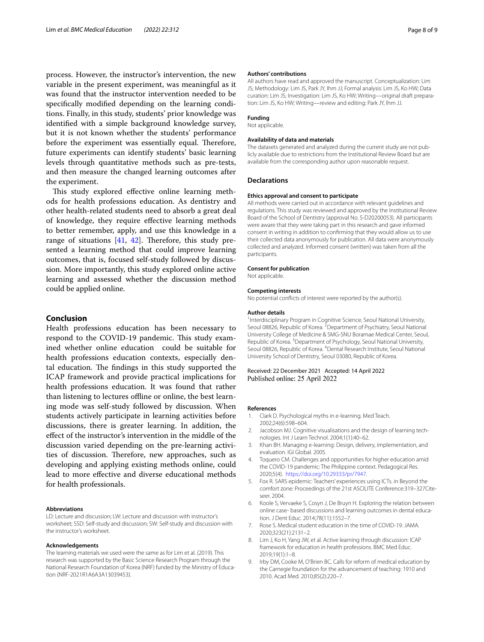process. However, the instructor's intervention, the new variable in the present experiment, was meaningful as it was found that the instructor intervention needed to be specifcally modifed depending on the learning conditions. Finally, in this study, students' prior knowledge was identifed with a simple background knowledge survey, but it is not known whether the students' performance before the experiment was essentially equal. Therefore, future experiments can identify students' basic learning levels through quantitative methods such as pre-tests, and then measure the changed learning outcomes after the experiment.

This study explored effective online learning methods for health professions education. As dentistry and other health-related students need to absorb a great deal of knowledge, they require efective learning methods to better remember, apply, and use this knowledge in a range of situations  $[41, 42]$  $[41, 42]$  $[41, 42]$ . Therefore, this study presented a learning method that could improve learning outcomes, that is, focused self-study followed by discussion. More importantly, this study explored online active learning and assessed whether the discussion method could be applied online.

### **Conclusion**

Health professions education has been necessary to respond to the COVID-19 pandemic. This study examined whether online education could be suitable for health professions education contexts, especially dental education. The findings in this study supported the ICAP framework and provide practical implications for health professions education. It was found that rather than listening to lectures offline or online, the best learning mode was self-study followed by discussion. When students actively participate in learning activities before discussions, there is greater learning. In addition, the efect of the instructor's intervention in the middle of the discussion varied depending on the pre-learning activities of discussion. Therefore, new approaches, such as developing and applying existing methods online, could lead to more efective and diverse educational methods for health professionals.

#### **Abbreviations**

LD: Lecture and discussion; LW: Lecture and discussion with instructor's worksheet; SSD: Self-study and discussion; SW: Self-study and discussion with the instructor's worksheet.

#### **Acknowledgements**

The learning materials we used were the same as for Lim et al. (2019). This research was supported by the Basic Science Research Program through the National Research Foundation of Korea (NRF) funded by the Ministry of Education (NRF-2021R1A6A3A13039453).

#### **Authors' contributions**

All authors have read and approved the manuscript. Conceptualization: Lim JS; Methodology: Lim JS, Park JY, Ihm JJ; Formal analysis: Lim JS, Ko HW; Data curation: Lim JS; Investigation: Lim JS, Ko HW; Writing—original draft preparation: Lim JS, Ko HW; Writing—review and editing: Park JY, Ihm JJ.

#### **Funding**

Not applicable.

## **Availability of data and materials**

The datasets generated and analyzed during the current study are not publicly available due to restrictions from the Institutional Review Board but are available from the corresponding author upon reasonable request.

#### **Declarations**

#### **Ethics approval and consent to participate**

All methods were carried out in accordance with relevant guidelines and regulations. This study was reviewed and approved by the Institutional Review Board of the School of Dentistry (approval No. S-D20200053). All participants were aware that they were taking part in this research and gave informed consent in writing in addition to confrming that they would allow us to use their collected data anonymously for publication. All data were anonymously collected and analyzed. Informed consent (written) was taken from all the participants.

# **Consent for publication**

Not applicable.

#### **Competing interests**

No potential conficts of interest were reported by the author(s).

#### **Author details**

<sup>1</sup>Interdisciplinary Program in Cognitive Science, Seoul National University, Seoul 08826, Republic of Korea. <sup>2</sup> Department of Psychiatry, Seoul National University College of Medicine & SMG-SNU Boramae Medical Center, Seoul, Republic of Korea. <sup>3</sup> Department of Psychology, Seoul National University, Seoul 08826, Republic of Korea. <sup>4</sup> Dental Research Institute, Seoul National University School of Dentistry, Seoul 03080, Republic of Korea.

## Received: 22 December 2021 Accepted: 14 April 2022 Published online: 25 April 2022

#### **References**

- <span id="page-7-0"></span>1. Clark D. Psychological myths in e-learning. Med Teach. 2002;24(6):598–604.
- <span id="page-7-1"></span>2. Jacobson MJ. Cognitive visualisations and the design of learning technologies. Int J Learn Technol. 2004;1(1):40–62.
- <span id="page-7-2"></span>3. Khan BH. Managing e-learning: Design, delivery, implementation, and evaluation. IGI Global. 2005.
- <span id="page-7-3"></span>Toquero CM. Challenges and opportunities for higher education amid the COVID-19 pandemic: The Philippine context. Pedagogical Res. 2020;5(4). [https://doi.org/10.29333/pr/7947.](https://doi.org/10.29333/pr/7947)
- <span id="page-7-4"></span>5. Fox R. SARS epidemic: Teachers' experiences using ICTs. in Beyond the comfort zone: Proceedings of the 21st ASCILITE Conference:319–327Citeseer. 2004.
- <span id="page-7-5"></span>6. Koole S, Vervaeke S, Cosyn J, De Bruyn H. Exploring the relation between online case- based discussions and learning outcomes in dental education. J Dent Educ. 2014;78(11):1552–7.
- <span id="page-7-6"></span>7. Rose S. Medical student education in the time of COVID-19. JAMA. 2020;323(21):2131–2.
- <span id="page-7-7"></span>8. Lim J, Ko H, Yang JW, et al. Active learning through discussion: ICAP framework for education in health professions. BMC Med Educ. 2019;19(1):1–8.
- <span id="page-7-8"></span>9. Irby DM, Cooke M, O'Brien BC. Calls for reform of medical education by the Carnegie foundation for the advancement of teaching: 1910 and 2010. Acad Med. 2010;85(2):220–7.